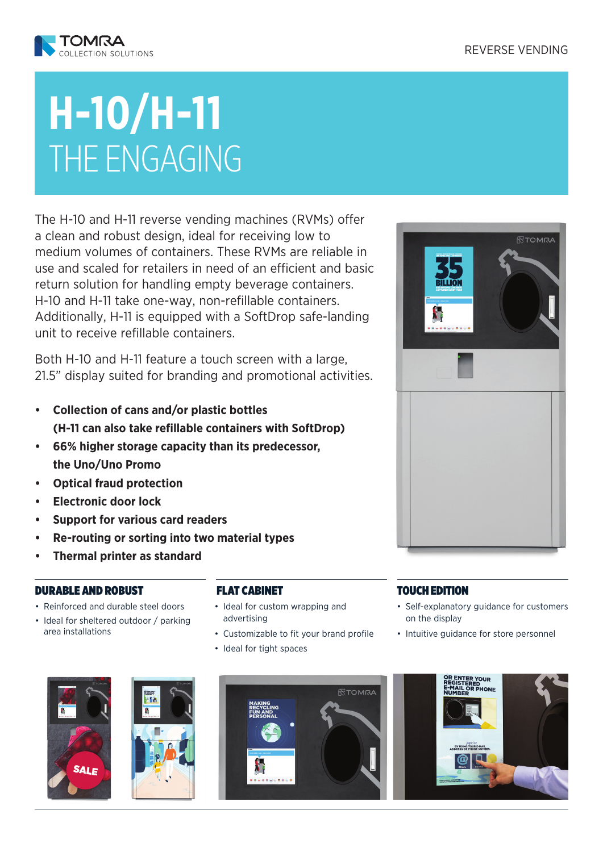

# **H-10/H-11** THE ENGAGING

The H-10 and H-11 reverse vending machines (RVMs) offer a clean and robust design, ideal for receiving low to medium volumes of containers. These RVMs are reliable in use and scaled for retailers in need of an efficient and basic return solution for handling empty beverage containers. H-10 and H-11 take one-way, non-refillable containers. Additionally, H-11 is equipped with a SoftDrop safe-landing unit to receive refillable containers.

Both H-10 and H-11 feature a touch screen with a large, 21.5" display suited for branding and promotional activities.

- **• Collection of cans and/or plastic bottles (H-11 can also take refillable containers with SoftDrop)**
- **• 66% higher storage capacity than its predecessor, the Uno/Uno Promo**
- **• Optical fraud protection**
- **• Electronic door lock**
- **• Support for various card readers**
- **• Re-routing or sorting into two material types**
- **• Thermal printer as standard**

# DURABLE AND ROBUST **FLAT CABINET** TOUCH EDITION

- Reinforced and durable steel doors
- Ideal for sheltered outdoor / parking area installations



- Ideal for custom wrapping and advertising
- Customizable to fit your brand profile
- Ideal for tight spaces











- Self-explanatory guidance for customers on the display
- Intuitive guidance for store personnel